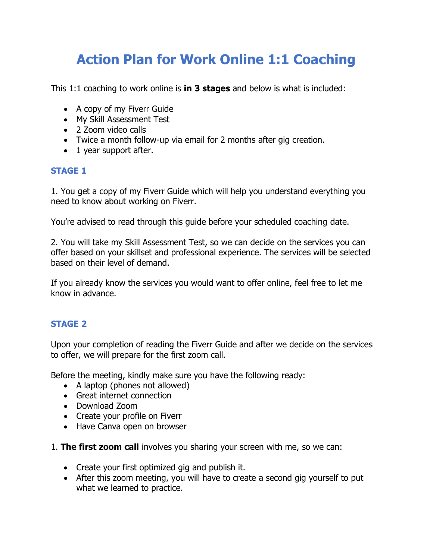# **Action Plan for Work Online 1:1 Coaching**

This 1:1 coaching to work online is **in 3 stages** and below is what is included:

- A copy of my Fiverr Guide
- My Skill Assessment Test
- 2 Zoom video calls
- Twice a month follow-up via email for 2 months after gig creation.
- 1 year support after.

### **STAGE 1**

1. You get a copy of my Fiverr Guide which will help you understand everything you need to know about working on Fiverr.

You're advised to read through this guide before your scheduled coaching date.

2. You will take my Skill Assessment Test, so we can decide on the services you can offer based on your skillset and professional experience. The services will be selected based on their level of demand.

If you already know the services you would want to offer online, feel free to let me know in advance.

## **STAGE 2**

Upon your completion of reading the Fiverr Guide and after we decide on the services to offer, we will prepare for the first zoom call.

Before the meeting, kindly make sure you have the following ready:

- A laptop (phones not allowed)
- Great internet connection
- Download Zoom
- Create your profile on Fiverr
- Have Canva open on browser
- 1. **The first zoom call** involves you sharing your screen with me, so we can:
	- Create your first optimized gig and publish it.
	- After this zoom meeting, you will have to create a second gig yourself to put what we learned to practice.